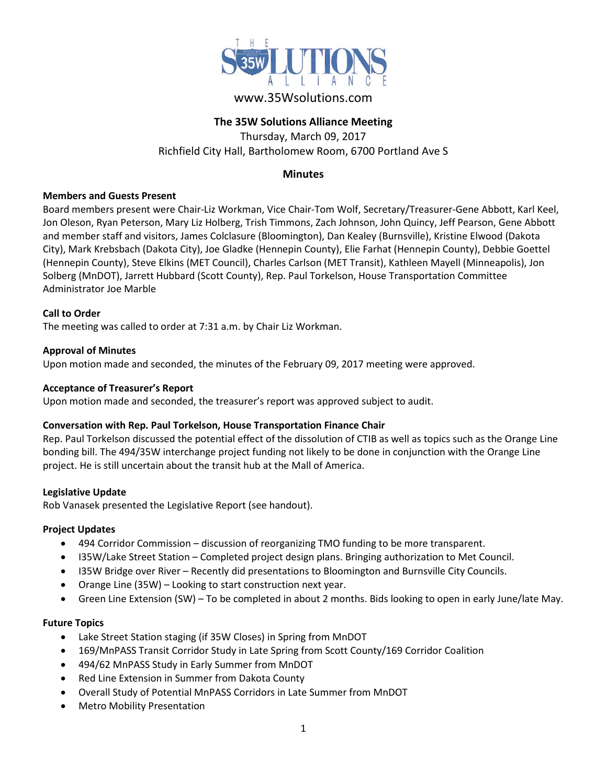

# www.35Wsolutions.com

## **The 35W Solutions Alliance Meeting**

Thursday, March 09, 2017 Richfield City Hall, Bartholomew Room, 6700 Portland Ave S

## **Minutes**

#### **Members and Guests Present**

Board members present were Chair-Liz Workman, Vice Chair-Tom Wolf, Secretary/Treasurer-Gene Abbott, Karl Keel, Jon Oleson, Ryan Peterson, Mary Liz Holberg, Trish Timmons, Zach Johnson, John Quincy, Jeff Pearson, Gene Abbott and member staff and visitors, James Colclasure (Bloomington), Dan Kealey (Burnsville), Kristine Elwood (Dakota City), Mark Krebsbach (Dakota City), Joe Gladke (Hennepin County), Elie Farhat (Hennepin County), Debbie Goettel (Hennepin County), Steve Elkins (MET Council), Charles Carlson (MET Transit), Kathleen Mayell (Minneapolis), Jon Solberg (MnDOT), Jarrett Hubbard (Scott County), Rep. Paul Torkelson, House Transportation Committee Administrator Joe Marble

## **Call to Order**

The meeting was called to order at 7:31 a.m. by Chair Liz Workman.

#### **Approval of Minutes**

Upon motion made and seconded, the minutes of the February 09, 2017 meeting were approved.

#### **Acceptance of Treasurer's Report**

Upon motion made and seconded, the treasurer's report was approved subject to audit.

## **Conversation with Rep. Paul Torkelson, House Transportation Finance Chair**

Rep. Paul Torkelson discussed the potential effect of the dissolution of CTIB as well as topics such as the Orange Line bonding bill. The 494/35W interchange project funding not likely to be done in conjunction with the Orange Line project. He is still uncertain about the transit hub at the Mall of America.

#### **Legislative Update**

Rob Vanasek presented the Legislative Report (see handout).

## **Project Updates**

- 494 Corridor Commission discussion of reorganizing TMO funding to be more transparent.
- I35W/Lake Street Station Completed project design plans. Bringing authorization to Met Council.
- I35W Bridge over River Recently did presentations to Bloomington and Burnsville City Councils.
- Orange Line (35W) Looking to start construction next year.
- Green Line Extension (SW) To be completed in about 2 months. Bids looking to open in early June/late May.

#### **Future Topics**

- Lake Street Station staging (if 35W Closes) in Spring from MnDOT
- 169/MnPASS Transit Corridor Study in Late Spring from Scott County/169 Corridor Coalition
- 494/62 MnPASS Study in Early Summer from MnDOT
- Red Line Extension in Summer from Dakota County
- Overall Study of Potential MnPASS Corridors in Late Summer from MnDOT
- Metro Mobility Presentation